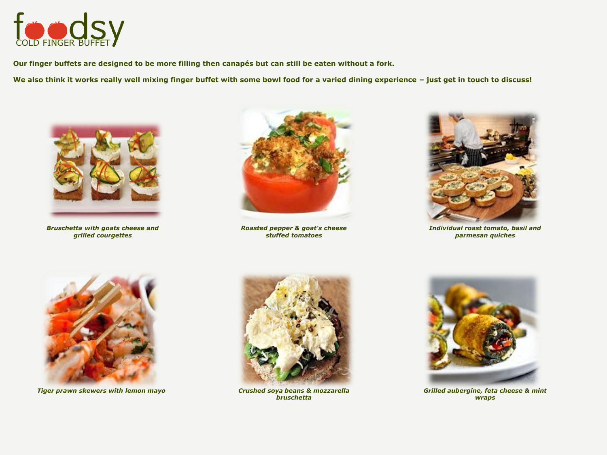

**Our finger buffets are designed to be more filling then canapés but can still be eaten without a fork.** 

**We also think it works really well mixing finger buffet with some bowl food for a varied dining experience – just get in touch to discuss!**



*Bruschetta with goats cheese and grilled courgettes* 



*Roasted pepper & goat's cheese stuffed tomatoes*



*Individual roast tomato, basil and parmesan quiches*



*Tiger prawn skewers with lemon mayo* 



*Crushed soya beans & mozzarella bruschetta*



*Grilled aubergine, feta cheese & mint wraps*